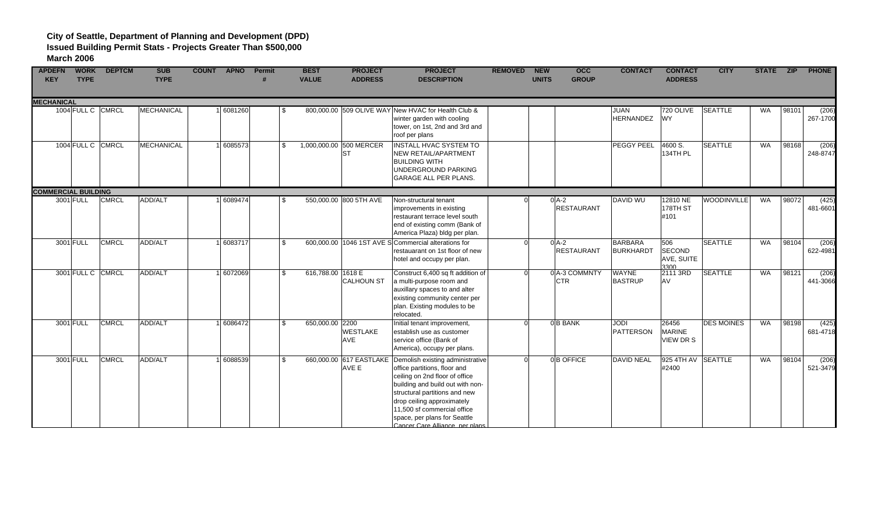| <b>APDEFN</b><br><b>KEY</b> | <b>WORK</b><br><b>TYPE</b> | <b>DEPTCM</b> | <b>SUB</b><br><b>TYPE</b> | <b>COUNT</b><br><b>APNO</b> | Permit |              | <b>BEST</b><br><b>VALUE</b>          | <b>PROJECT</b><br><b>ADDRESS</b> | <b>PROJECT</b><br><b>DESCRIPTION</b>                                                                                                                                                                                                                                                                    | <b>REMOVED</b> | <b>NEW</b><br><b>UNITS</b> | occ<br><b>GROUP</b>         | <b>CONTACT</b>                     | <b>CONTACT</b><br><b>ADDRESS</b>           | <b>CITY</b>        | STATE ZIP |       | <b>PHONE</b>      |
|-----------------------------|----------------------------|---------------|---------------------------|-----------------------------|--------|--------------|--------------------------------------|----------------------------------|---------------------------------------------------------------------------------------------------------------------------------------------------------------------------------------------------------------------------------------------------------------------------------------------------------|----------------|----------------------------|-----------------------------|------------------------------------|--------------------------------------------|--------------------|-----------|-------|-------------------|
| <b>MECHANICAL</b>           |                            |               |                           |                             |        |              |                                      |                                  |                                                                                                                                                                                                                                                                                                         |                |                            |                             |                                    |                                            |                    |           |       |                   |
|                             | 1004 FULL C CMRCL          |               | MECHANICAL                | 1 6081260                   |        | .S           | 800,000.00 509 OLIVE WAY             |                                  | New HVAC for Health Club &<br>winter garden with cooling<br>tower, on 1st, 2nd and 3rd and<br>roof per plans                                                                                                                                                                                            |                |                            |                             | <b>JUAN</b><br><b>HERNANDEZ</b>    | 720 OLIVE<br><b>WY</b>                     | <b>SEATTLE</b>     | <b>WA</b> | 98101 | (206)<br>267-1700 |
|                             | 1004 FULL C                | <b>CMRCL</b>  | MECHANICAL                | 1 6085573                   |        | \$           | 1,000,000.00 500 MERCER<br><b>ST</b> |                                  | INSTALL HVAC SYSTEM TO<br>NEW RETAIL/APARTMENT<br><b>BUILDING WITH</b><br>UNDERGROUND PARKING<br><b>GARAGE ALL PER PLANS.</b>                                                                                                                                                                           |                |                            |                             | <b>PEGGY PEEL</b>                  | 4600 S.<br>134TH PL                        | <b>SEATTLE</b>     | WA        | 98168 | (206)<br>248-8747 |
| <b>COMMERCIAL BUILDING</b>  |                            |               |                           |                             |        |              |                                      |                                  |                                                                                                                                                                                                                                                                                                         |                |                            |                             |                                    |                                            |                    |           |       |                   |
|                             | 3001 FULL                  | <b>CMRCL</b>  | ADD/ALT                   | 1 6089474                   |        |              | 550,000.00 800 5TH AVE               |                                  | Non-structural tenant<br>improvements in existing<br>restaurant terrace level south<br>end of existing comm (Bank of<br>America Plaza) bldg per plan.                                                                                                                                                   |                | $0$ A-2                    | <b>RESTAURANT</b>           | <b>DAVID WU</b>                    | 12810 NE<br>178TH ST<br>#101               | <b>WOODINVILLE</b> | <b>WA</b> | 98072 | (425)<br>481-6601 |
|                             | 3001 FULL                  | <b>CMRCL</b>  | ADD/ALT                   | 1 6083717                   |        | \$           |                                      |                                  | 600,000,00 1046 1ST AVE SCommercial alterations for<br>restauarant on 1st floor of new<br>hotel and occupy per plan.                                                                                                                                                                                    |                | $0$ A-2                    | <b>RESTAURANT</b>           | <b>BARBARA</b><br><b>BURKHARDT</b> | 506<br>SECOND<br>AVE, SUITE<br>3300        | <b>SEATTLE</b>     | <b>WA</b> | 98104 | (206)<br>622-4981 |
|                             | 3001 FULL C CMRCL          |               | ADD/ALT                   | 1 6072069                   |        | \$           | 616,788.00 1618 E                    | <b>CALHOUN ST</b>                | Construct 6,400 sq ft addition of<br>a multi-purpose room and<br>auxillary spaces to and alter<br>existing community center per<br>plan. Existing modules to be<br>relocated.                                                                                                                           | ΩI             |                            | 0 A-3 COMMNTY<br><b>CTR</b> | <b>WAYNE</b><br><b>BASTRUP</b>     | 2111 3RD<br>AV                             | <b>SEATTLE</b>     | WA        | 98121 | (206)<br>441-3066 |
|                             | 3001 FULL                  | <b>CMRCL</b>  | ADD/ALT                   | 1 6086472                   |        | $\mathbf{s}$ | 650,000.00 2200<br><b>AVE</b>        | <b>WESTLAKE</b>                  | Initial tenant improvement,<br>establish use as customer<br>service office (Bank of<br>America), occupy per plans.                                                                                                                                                                                      | $\Omega$       |                            | 0 <sup>B</sup> BANK         | <b>JODI</b><br>PATTERSON           | 26456<br><b>MARINE</b><br><b>VIEW DR S</b> | <b>DES MOINES</b>  | WA        | 98198 | (425)<br>681-4718 |
|                             | 3001 FULL                  | <b>CMRCL</b>  | ADD/ALT                   | 1 6088539                   |        | $\mathbf{s}$ | 660,000.00 617 EASTLAKE<br>AVE E     |                                  | Demolish existing administrative<br>office partitions, floor and<br>ceiling on 2nd floor of office<br>building and build out with non-<br>structural partitions and new<br>drop ceiling approximately<br>11,500 sf commercial office<br>space, per plans for Seattle<br>Cancer Care Alliance, ner plans |                |                            | 0B OFFICE                   | <b>DAVID NEAL</b>                  | 925 4TH AV<br>#2400                        | <b>SEATTLE</b>     | <b>WA</b> | 98104 | (206)<br>521-3479 |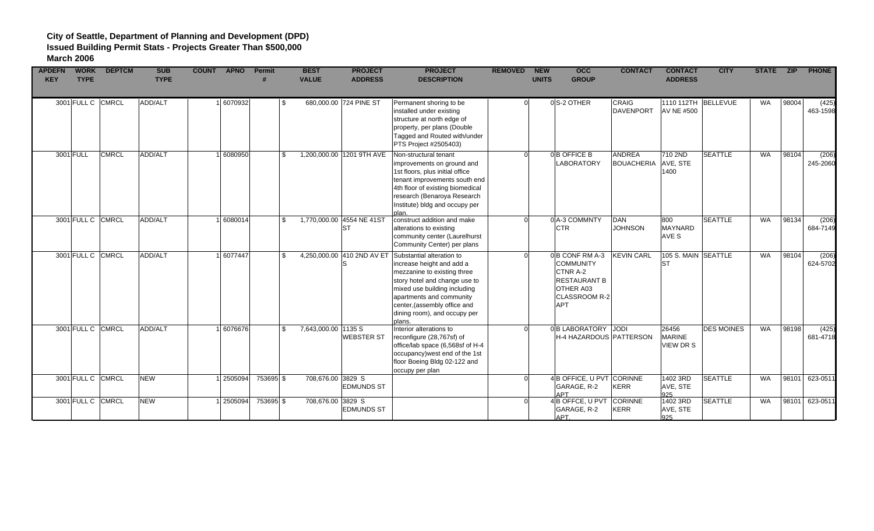| <b>APDEFN</b><br><b>KEY</b> | <b>WORK</b><br><b>TYPE</b> | <b>DEPTCM</b> | <b>SUB</b><br><b>TYPE</b> | <b>COUNT APNO</b> | <b>Permit</b> | <b>BEST</b><br><b>VALUE</b> | <b>PROJECT</b><br><b>ADDRESS</b>         | <b>PROJECT</b><br><b>DESCRIPTION</b>                                                                                                                                                                                                                         | <b>REMOVED</b> | <b>NEW</b><br><b>UNITS</b> | <b>OCC</b><br><b>GROUP</b>                                                                                        | <b>CONTACT</b>                     | <b>CONTACT</b><br><b>ADDRESS</b>         | <b>CITY</b>       | STATE ZIP |       | <b>PHONE</b>      |
|-----------------------------|----------------------------|---------------|---------------------------|-------------------|---------------|-----------------------------|------------------------------------------|--------------------------------------------------------------------------------------------------------------------------------------------------------------------------------------------------------------------------------------------------------------|----------------|----------------------------|-------------------------------------------------------------------------------------------------------------------|------------------------------------|------------------------------------------|-------------------|-----------|-------|-------------------|
|                             | 3001 FULL C CMRCL          |               | ADD/ALT                   | 6070932           |               | - \$                        | 680,000.00 724 PINE ST                   | Permanent shoring to be<br>installed under existing<br>structure at north edge of<br>property, per plans (Double<br>Tagged and Routed with/under<br>PTS Project #2505403)                                                                                    |                |                            | 0S-2 OTHER                                                                                                        | CRAIG<br>DAVENPORT                 | 1110 112TH BELLEVUE<br><b>AV NE #500</b> |                   | <b>WA</b> | 98004 | (425)<br>463-1598 |
|                             | 3001 FULL                  | <b>CMRCL</b>  | ADD/ALT                   | 6080950           |               | \$.                         | 1,200,000.00 1201 9TH AVE                | Non-structural tenant<br>improvements on ground and<br>1st floors, plus initial office<br>tenant improvements south end<br>4th floor of existing biomedical<br>research (Benaroya Research<br>Institute) bldg and occupy per                                 |                |                            | 0B OFFICE B<br><b>LABORATORY</b>                                                                                  | <b>ANDREA</b><br><b>BOUACHERIA</b> | 710 2ND<br>AVE, STE<br>1400              | <b>SEATTLE</b>    | <b>WA</b> | 98104 | (206)<br>245-2060 |
|                             | 3001 FULL C CMRCL          |               | ADD/ALT                   | 6080014           |               | \$.                         | 1,770,000.00 4554 NE 41ST<br><b>ST</b>   | construct addition and make<br>alterations to existing<br>community center (Laurelhurst<br>Community Center) per plans                                                                                                                                       |                |                            | 0 A-3 COMMNTY<br><b>CTR</b>                                                                                       | <b>DAN</b><br><b>JOHNSON</b>       | 800<br>MAYNARD<br>AVE S                  | <b>SEATTLE</b>    | <b>WA</b> | 98134 | (206)<br>684-7149 |
|                             | 3001 FULL C CMRCL          |               | ADD/ALT                   | 6077447           |               | $\mathfrak{L}$              | 4,250,000.00 410 2ND AV ET<br>IS         | Substantial alteration to<br>increase height and add a<br>mezzanine to existing three<br>story hotel and change use to<br>mixed use building including<br>apartments and community<br>center, (assembly office and<br>dining room), and occupy per<br>plans. |                |                            | 0B CONF RM A-3<br><b>COMMUNITY</b><br>CTNR A-2<br><b>RESTAURANT B</b><br>OTHER A03<br>CLASSROOM R-2<br><b>APT</b> | <b>KEVIN CARL</b>                  | 105 S. MAIN SEATTLE<br><b>ST</b>         |                   | <b>WA</b> | 98104 | (206)<br>624-5702 |
|                             | 3001 FULL C CMRCL          |               | ADD/ALT                   | 6076676           |               | \$                          | 7,643,000.00 1135 S<br><b>WEBSTER ST</b> | Interior alterations to<br>reconfigure (28,767sf) of<br>office/lab space (6,568sf of H-4<br>occupancy) west end of the 1st<br>floor Boeing Bldg 02-122 and<br>occupy per plan                                                                                |                |                            | 0B LABORATORY JODI<br>H-4 HAZARDOUS PATTERSON                                                                     |                                    | 26456<br><b>MARINE</b><br>VIEW DR S      | <b>DES MOINES</b> | WA        | 98198 | (425)<br>681-4718 |
|                             | 3001 FULL C CMRCL          |               | <b>NEW</b>                | 2505094           | 753695 \$     |                             | 708,676.00 3829 S<br><b>EDMUNDS ST</b>   |                                                                                                                                                                                                                                                              |                |                            | 4 B OFFICE, U PVT CORINNE<br>GARAGE, R-2<br><b>APT</b>                                                            | <b>KERR</b>                        | 1402 3RD<br>AVE, STE<br>925              | <b>SEATTLE</b>    | <b>WA</b> |       | 98101 623-0511    |
|                             | 3001 FULL C CMRCL          |               | <b>NEW</b>                | 2505094           | 753695 \$     |                             | 708,676.00 3829 S<br><b>EDMUNDS ST</b>   |                                                                                                                                                                                                                                                              |                |                            | 4B OFFCE, U PVT<br>GARAGE, R-2<br>APT.                                                                            | CORINNE<br><b>KERR</b>             | 1402 3RD<br>AVE, STE<br>925              | <b>SEATTLE</b>    | <b>WA</b> |       | 98101 623-0511    |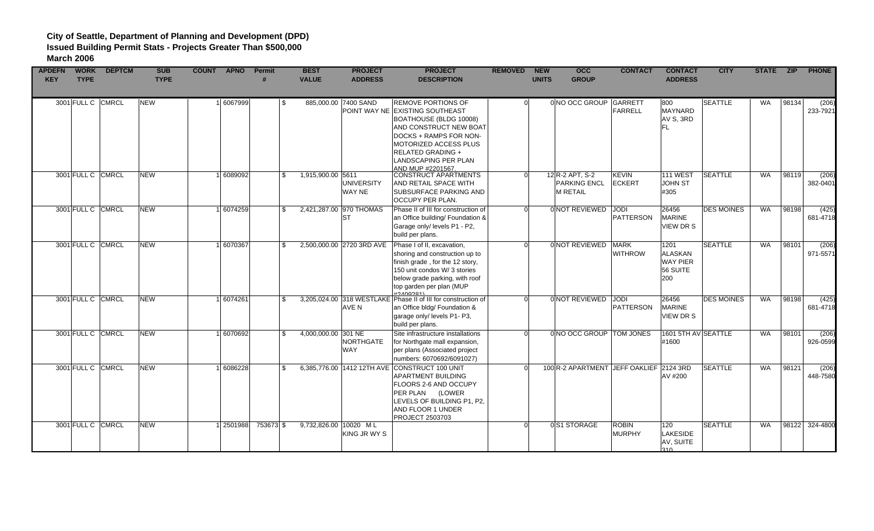| <b>APDEFN</b> | <b>WORK</b>       | <b>DEPTCM</b> | <b>SUB</b>  | <b>COUNT APNO</b> | <b>Permit</b> |     | <b>BEST</b>           | <b>PROJECT</b>            | <b>PROJECT</b>                                                | <b>REMOVED</b> | <b>NEW</b>   | <b>OCC</b>                              | <b>CONTACT</b>   | <b>CONTACT</b>      | <b>CITY</b>       |           |       | STATE ZIP PHONE |
|---------------|-------------------|---------------|-------------|-------------------|---------------|-----|-----------------------|---------------------------|---------------------------------------------------------------|----------------|--------------|-----------------------------------------|------------------|---------------------|-------------------|-----------|-------|-----------------|
| <b>KEY</b>    | <b>TYPE</b>       |               | <b>TYPE</b> |                   |               |     | <b>VALUE</b>          | <b>ADDRESS</b>            | <b>DESCRIPTION</b>                                            |                | <b>UNITS</b> | <b>GROUP</b>                            |                  | <b>ADDRESS</b>      |                   |           |       |                 |
|               |                   |               |             |                   |               |     |                       |                           |                                                               |                |              |                                         |                  |                     |                   |           |       |                 |
|               |                   |               |             |                   |               |     |                       |                           |                                                               |                |              |                                         |                  |                     |                   |           |       |                 |
|               | 3001 FULL C CMRCL |               | <b>NEW</b>  | 6067999           |               | -S  |                       | 885,000.00 7400 SAND      | <b>REMOVE PORTIONS OF</b>                                     | ΩI             |              | 0 NO OCC GROUP GARRETT                  |                  | 800                 | <b>SEATTLE</b>    | <b>WA</b> | 98134 | (206)           |
|               |                   |               |             |                   |               |     |                       |                           | POINT WAY NE EXISTING SOUTHEAST                               |                |              |                                         | FARRELL          | <b>MAYNARD</b>      |                   |           |       | 233-7921        |
|               |                   |               |             |                   |               |     |                       |                           | BOATHOUSE (BLDG 10008)                                        |                |              |                                         |                  | AV S, 3RD           |                   |           |       |                 |
|               |                   |               |             |                   |               |     |                       |                           | AND CONSTRUCT NEW BOAT                                        |                |              |                                         |                  | FL.                 |                   |           |       |                 |
|               |                   |               |             |                   |               |     |                       |                           | DOCKS + RAMPS FOR NON-                                        |                |              |                                         |                  |                     |                   |           |       |                 |
|               |                   |               |             |                   |               |     |                       |                           | MOTORIZED ACCESS PLUS                                         |                |              |                                         |                  |                     |                   |           |       |                 |
|               |                   |               |             |                   |               |     |                       |                           | <b>RELATED GRADING +</b>                                      |                |              |                                         |                  |                     |                   |           |       |                 |
|               |                   |               |             |                   |               |     |                       |                           | <b>LANDSCAPING PER PLAN</b>                                   |                |              |                                         |                  |                     |                   |           |       |                 |
|               |                   |               |             |                   |               |     |                       |                           |                                                               |                |              |                                         |                  |                     |                   |           |       |                 |
|               | 3001 FULL C CMRCL |               | <b>NEW</b>  | 6089092           |               | \$  | 1,915,900.00 5611     |                           | AND MUP #2201567.<br>CONSTRUCT APARTMENTS                     | $\Omega$       |              | 12 R-2 APT, S-2                         | <b>KEVIN</b>     | 111 WEST            | <b>SEATTLE</b>    | WA        | 98119 | (206)           |
|               |                   |               |             |                   |               |     |                       | <b>UNIVERSITY</b>         | AND RETAIL SPACE WITH                                         |                |              | <b>PARKING ENCL</b>                     | <b>IECKERT</b>   | JOHN ST             |                   |           |       | 382-0401        |
|               |                   |               |             |                   |               |     |                       |                           |                                                               |                |              |                                         |                  |                     |                   |           |       |                 |
|               |                   |               |             |                   |               |     |                       | WAY NE                    | <b>SUBSURFACE PARKING AND</b>                                 |                |              | <b>M RETAIL</b>                         |                  | #305                |                   |           |       |                 |
|               |                   |               |             |                   |               |     |                       |                           | <b>OCCUPY PER PLAN.</b>                                       |                |              |                                         |                  |                     |                   |           |       |                 |
|               | 3001 FULL C CMRCL |               | <b>NEW</b>  | 6074259           |               | \$  |                       | 2,421,287.00 970 THOMAS   | Phase II of III for construction of                           | $\Omega$       |              | 0 NOT REVIEWED JODI                     |                  | 26456               | <b>DES MOINES</b> | <b>WA</b> | 98198 | (425)           |
|               |                   |               |             |                   |               |     |                       | <b>ST</b>                 | an Office building/ Foundation &                              |                |              |                                         | <b>PATTERSON</b> | <b>MARINE</b>       |                   |           |       | 681-4718        |
|               |                   |               |             |                   |               |     |                       |                           | Garage only/ levels P1 - P2,                                  |                |              |                                         |                  | <b>VIEW DR S</b>    |                   |           |       |                 |
|               |                   |               |             |                   |               |     |                       |                           | build per plans.                                              |                |              |                                         |                  |                     |                   |           |       |                 |
|               | 3001 FULL C       | CMRCL         | <b>NEW</b>  | 6070367           |               | \$  |                       | 2,500,000.00 2720 3RD AVE | Phase I of II, excavation,                                    | n.             |              | 0 NOT REVIEWED MARK                     |                  | 1201                | <b>SEATTLE</b>    | WA        | 98101 | (206)           |
|               |                   |               |             |                   |               |     |                       |                           | shoring and construction up to                                |                |              |                                         | <b>WITHROW</b>   | <b>ALASKAN</b>      |                   |           |       | 971-5571        |
|               |                   |               |             |                   |               |     |                       |                           | finish grade, for the 12 story,                               |                |              |                                         |                  | <b>WAY PIER</b>     |                   |           |       |                 |
|               |                   |               |             |                   |               |     |                       |                           | 150 unit condos W/3 stories                                   |                |              |                                         |                  | 56 SUITE            |                   |           |       |                 |
|               |                   |               |             |                   |               |     |                       |                           |                                                               |                |              |                                         |                  |                     |                   |           |       |                 |
|               |                   |               |             |                   |               |     |                       |                           | below grade parking, with roof                                |                |              |                                         |                  | 200                 |                   |           |       |                 |
|               |                   |               |             |                   |               |     |                       |                           | top garden per plan (MUP<br>H2AOOO91                          |                |              |                                         |                  |                     |                   |           |       |                 |
|               | 3001 FULL C CMRCL |               | <b>NEW</b>  | 6074261           |               | \$  |                       |                           | 3,205,024.00 318 WESTLAKE Phase II of III for construction of | $\Omega$       |              | 0 NOT REVIEWED JODI                     |                  | 26456               | <b>DES MOINES</b> | WA        | 98198 | (425)           |
|               |                   |               |             |                   |               |     |                       | AVE N                     | an Office bldg/ Foundation &                                  |                |              |                                         | <b>PATTERSON</b> | <b>MARINE</b>       |                   |           |       | 681-4718        |
|               |                   |               |             |                   |               |     |                       |                           | garage only/ levels P1- P3,                                   |                |              |                                         |                  | VIEW DR S           |                   |           |       |                 |
|               |                   |               |             |                   |               |     |                       |                           | build per plans.                                              |                |              |                                         |                  |                     |                   |           |       |                 |
|               | 3001 FULL C CMRCL |               | <b>NEW</b>  | 6070692           |               | \$  | 4,000,000.00 301 NE   |                           | Site infrastructure installations                             | ΩI             |              | 0 NO OCC GROUP TOM JONES                |                  | 1601 5TH AV SEATTLE |                   | <b>WA</b> | 98101 | (206)           |
|               |                   |               |             |                   |               |     |                       | NORTHGATE                 | for Northgate mall expansion,                                 |                |              |                                         |                  | #1600               |                   |           |       | 926-0599        |
|               |                   |               |             |                   |               |     |                       | <b>WAY</b>                |                                                               |                |              |                                         |                  |                     |                   |           |       |                 |
|               |                   |               |             |                   |               |     |                       |                           | per plans (Associated project                                 |                |              |                                         |                  |                     |                   |           |       |                 |
|               |                   |               |             |                   |               |     |                       |                           | numbers: 6070692/6091027)                                     |                |              |                                         |                  |                     |                   |           |       |                 |
|               | 3001 FULL C       | <b>CMRCL</b>  | <b>NEW</b>  | 6086228           |               | \$. |                       |                           | 6,385,776.00 1412 12TH AVE CONSTRUCT 100 UNIT                 |                |              | 100 R-2 APARTMENT JEFF OAKLIEF 2124 3RD |                  |                     | <b>SEATTLE</b>    | <b>WA</b> | 98121 | (206)           |
|               |                   |               |             |                   |               |     |                       |                           | <b>APARTMENT BUILDING</b>                                     |                |              |                                         |                  | AV #200             |                   |           |       | 448-7580        |
|               |                   |               |             |                   |               |     |                       |                           | FLOORS 2-6 AND OCCUPY                                         |                |              |                                         |                  |                     |                   |           |       |                 |
|               |                   |               |             |                   |               |     |                       |                           | PER PLAN (LOWER                                               |                |              |                                         |                  |                     |                   |           |       |                 |
|               |                   |               |             |                   |               |     |                       |                           | LEVELS OF BUILDING P1, P2,                                    |                |              |                                         |                  |                     |                   |           |       |                 |
|               |                   |               |             |                   |               |     |                       |                           | AND FLOOR 1 UNDER                                             |                |              |                                         |                  |                     |                   |           |       |                 |
|               |                   |               |             |                   |               |     |                       |                           | <b>PROJECT 2503703</b>                                        |                |              |                                         |                  |                     |                   |           |       |                 |
|               | 3001 FULL C CMRCL |               | <b>NEW</b>  | 2501988           | 753673 \$     |     | 9,732,826.00 10020 ML |                           |                                                               | ΩI             |              | 0S1 STORAGE                             | <b>ROBIN</b>     | 120                 | <b>SEATTLE</b>    | <b>WA</b> |       | 98122 324-4800  |
|               |                   |               |             |                   |               |     |                       | KING JR WY S              |                                                               |                |              |                                         | MURPHY           | LAKESIDE            |                   |           |       |                 |
|               |                   |               |             |                   |               |     |                       |                           |                                                               |                |              |                                         |                  | AV, SUITE           |                   |           |       |                 |
|               |                   |               |             |                   |               |     |                       |                           |                                                               |                |              |                                         |                  | 310                 |                   |           |       |                 |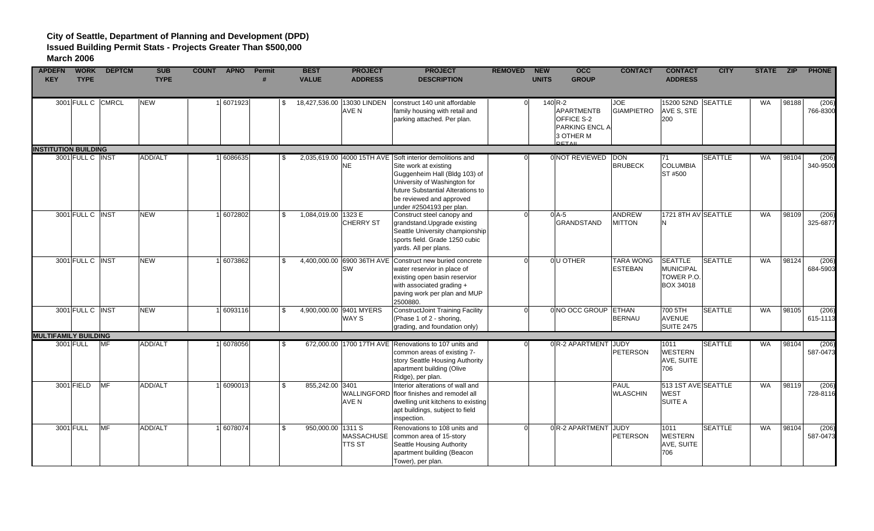| <b>APDEFN</b><br><b>KEY</b> | <b>WORK</b><br><b>TYPE</b>  | <b>DEPTCM</b> | <b>SUB</b><br><b>TYPE</b> | <b>COUNT</b><br><b>APNO</b> | Permit | <b>BEST</b><br><b>VALUE</b>         | <b>PROJECT</b><br><b>ADDRESS</b>        | <b>PROJECT</b><br><b>DESCRIPTION</b>                                                                                                                                                                                 | <b>REMOVED</b> | <b>NEW</b><br><b>UNITS</b> | $\overline{occ}$<br><b>GROUP</b>                                                             | <b>CONTACT</b>                     | <b>CONTACT</b><br><b>ADDRESS</b>                       | <b>CITY</b>    | STATE ZIP |       | <b>PHONE</b>      |
|-----------------------------|-----------------------------|---------------|---------------------------|-----------------------------|--------|-------------------------------------|-----------------------------------------|----------------------------------------------------------------------------------------------------------------------------------------------------------------------------------------------------------------------|----------------|----------------------------|----------------------------------------------------------------------------------------------|------------------------------------|--------------------------------------------------------|----------------|-----------|-------|-------------------|
|                             | 3001 FULL C                 | <b>CMRCL</b>  | <b>NEW</b>                | 6071923                     |        | \$                                  | 18,427,536.00 13030 LINDEN<br>AVE N     | construct 140 unit affordable<br>family housing with retail and<br>parking attached. Per plan.                                                                                                                       |                |                            | $140$ R-2<br><b>APARTMENTB</b><br>OFFICE S-2<br>PARKING ENCL A<br>3 OTHER M<br><b>DETAIL</b> | <b>JOE</b><br><b>GIAMPIETRO</b>    | 15200 52ND SEATTLE<br>AVE S, STE<br>200                |                | WA        | 98188 | (206)<br>766-8300 |
|                             | <b>INSTITUTION BUILDING</b> |               |                           |                             |        |                                     |                                         |                                                                                                                                                                                                                      |                |                            |                                                                                              |                                    |                                                        |                |           |       |                   |
|                             | 3001 FULL C INST            |               | <b>ADD/ALT</b>            | 6086635                     |        | -SS                                 | 2,035,619.00 4000 15TH AVE<br><b>NE</b> | Soft interior demolitions and<br>Site work at existing<br>Guggenheim Hall (Bldg 103) of<br>University of Washington for<br>future Substantial Alterations to<br>be reviewed and approved<br>under #2504193 per plan. |                |                            | 0 NOT REVIEWED                                                                               | <b>DON</b><br><b>BRUBECK</b>       | 71<br><b>COLUMBIA</b><br>ST #500                       | <b>SEATTLE</b> | <b>WA</b> | 98104 | (206)<br>340-9500 |
|                             | 3001 FULL C INST            |               | <b>NEW</b>                | 6072802                     |        | $\mathbb{S}$<br>1,084,019.00 1323 E | <b>CHERRY ST</b>                        | Construct steel canopy and<br>grandstand. Upgrade existing<br>Seattle University championship<br>sports field. Grade 1250 cubic<br>yards. All per plans.                                                             |                |                            | $0$ A-5<br><b>GRANDSTAND</b>                                                                 | <b>ANDREW</b><br><b>MITTON</b>     | 1721 8TH AV SEATTLE<br>N                               |                | WA        | 98109 | (206)<br>325-6877 |
|                             | 3001 FULL C INST            |               | <b>NEW</b>                | 6073862                     |        | $\mathbb{S}$                        | 4,400,000.00 6900 36TH AVE<br><b>SW</b> | Construct new buried concrete<br>water reservior in place of<br>existing open basin reservior<br>with associated grading +<br>paving work per plan and MUP<br>2500880.                                               |                |                            | 0U OTHER                                                                                     | <b>TARA WONG</b><br><b>ESTEBAN</b> | <b>SEATTLE</b><br>MUNICIPAL<br>TOWER P.O.<br>BOX 34018 | <b>SEATTLE</b> | WA        | 98124 | (206)<br>684-5903 |
|                             | 3001 FULL C INST            |               | <b>NEW</b>                | 6093116                     |        | \$                                  | 4,900,000.00 9401 MYERS<br><b>WAY S</b> | ConstructJoint Training Facility<br>(Phase 1 of 2 - shoring,<br>grading, and foundation only)                                                                                                                        |                |                            | 0 NO OCC GROUP ETHAN                                                                         | <b>BERNAU</b>                      | 700 5TH<br>AVENUE<br><b>SUITE 2475</b>                 | <b>SEATTLE</b> | WA        | 98105 | (206)<br>615-1113 |
|                             | <b>MULTIFAMILY BUILDING</b> |               |                           |                             |        |                                     |                                         |                                                                                                                                                                                                                      |                |                            |                                                                                              |                                    |                                                        |                |           |       |                   |
|                             | 3001 FULL                   | <b>MF</b>     | ADD/ALT                   | 6078056                     |        | \$.                                 |                                         | 672,000.00 1700 17TH AVE Renovations to 107 units and<br>common areas of existing 7-<br>story Seattle Housing Authority<br>apartment building (Olive<br>Ridge), per plan.                                            |                |                            | 0 R-2 APARTMENT JUDY                                                                         | <b>PETERSON</b>                    | 1011<br><b>WESTERN</b><br>AVE, SUITE<br>706            | <b>SEATTLE</b> | WA        | 98104 | (206)<br>587-0473 |
|                             | 3001 FIELD                  | <b>MF</b>     | ADD/ALT                   | 6090013                     |        | 855, 242.00 3401<br>\$              | WALLINGFORD<br><b>AVE N</b>             | Interior alterations of wall and<br>floor finishes and remodel all<br>dwelling unit kitchens to existing<br>apt buildings, subject to field<br>inspection.                                                           |                |                            |                                                                                              | <b>PAUL</b><br><b>WLASCHIN</b>     | 513 1ST AVE SEATTLE<br><b>WEST</b><br><b>SUITE A</b>   |                | WA        | 98119 | (206)<br>728-8116 |
|                             | 3001 FULL                   | MF            | ADD/ALT                   | 6078074                     |        | 950,000.00 1311 S<br>\$             | <b>MASSACHUSE</b><br><b>TTS ST</b>      | Renovations to 108 units and<br>common area of 15-story<br>Seattle Housing Authority<br>apartment building (Beacon<br>Tower), per plan.                                                                              |                |                            | 0R-2 APARTMENT JUDY                                                                          | <b>PETERSON</b>                    | 1011<br><b>WESTERN</b><br>AVE, SUITE<br>706            | <b>SEATTLE</b> | WA        | 98104 | (206)<br>587-0473 |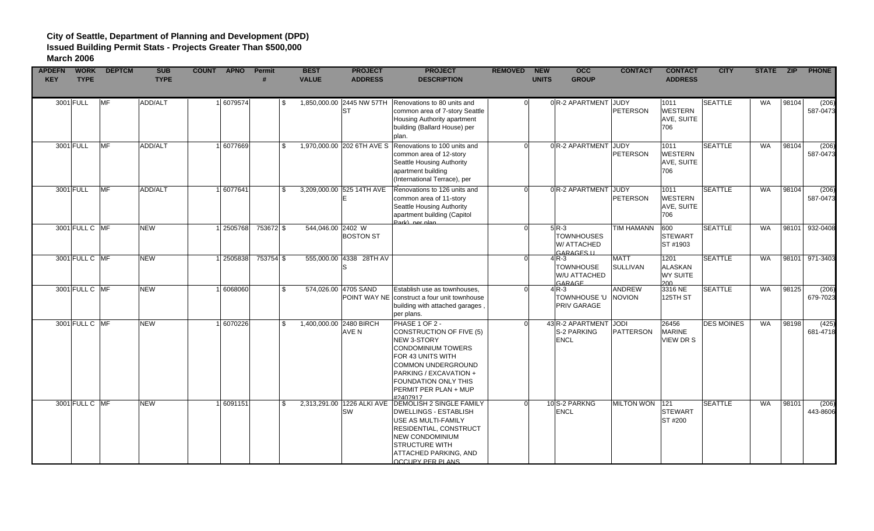| <b>APDEFN</b> | <b>WORK</b>    | <b>DEPTCM</b> | <b>SUB</b>  | COUNT APNO | Permit    | <b>BEST</b>             | <b>PROJECT</b>                          | <b>PROJECT</b>                                                                                                                                                                                                                                       | <b>REMOVED</b> | <b>NEW</b>   | $\overline{occ}$                                          | <b>CONTACT</b>                 | <b>CONTACT</b>                              | <b>CITY</b>       | STATE ZIP |       | <b>PHONE</b>      |
|---------------|----------------|---------------|-------------|------------|-----------|-------------------------|-----------------------------------------|------------------------------------------------------------------------------------------------------------------------------------------------------------------------------------------------------------------------------------------------------|----------------|--------------|-----------------------------------------------------------|--------------------------------|---------------------------------------------|-------------------|-----------|-------|-------------------|
| <b>KEY</b>    | <b>TYPE</b>    |               | <b>TYPE</b> |            |           | <b>VALUE</b>            | <b>ADDRESS</b>                          | <b>DESCRIPTION</b>                                                                                                                                                                                                                                   |                | <b>UNITS</b> | <b>GROUP</b>                                              |                                | <b>ADDRESS</b>                              |                   |           |       |                   |
|               |                |               |             |            |           |                         |                                         |                                                                                                                                                                                                                                                      |                |              |                                                           |                                |                                             |                   |           |       |                   |
|               | 3001 FULL      | <b>MF</b>     | ADD/ALT     | 6079574    | \$        |                         | 1,850,000.00 2445 NW 57TH<br><b>ST</b>  | Renovations to 80 units and<br>common area of 7-story Seattle<br>Housing Authority apartment<br>building (Ballard House) per<br>plan.                                                                                                                | 0l             |              | 0R-2 APARTMENT JUDY                                       | <b>PETERSON</b>                | 1011<br><b>WESTERN</b><br>AVE, SUITE<br>706 | <b>SEATTLE</b>    | WA        | 98104 | (206)<br>587-0473 |
|               | 3001 FULL      | <b>MF</b>     | ADD/ALT     | 1 6077669  | \$        |                         |                                         | 1,970,000.00 202 6TH AVE S Renovations to 100 units and<br>common area of 12-story<br>Seattle Housing Authority<br>apartment building<br>(International Terrace), per                                                                                | ΩI             |              | 0 R-2 APARTMENT JUDY                                      | <b>PETERSON</b>                | 1011<br><b>WESTERN</b><br>AVE, SUITE<br>706 | <b>SEATTLE</b>    | WA        | 98104 | (206)<br>587-0473 |
|               | 3001 FULL      | <b>MF</b>     | ADD/ALT     | 6077641    | \$        |                         | 3,209,000.00 525 14TH AVE               | Renovations to 126 units and<br>common area of 11-story<br>Seattle Housing Authority<br>apartment building (Capitol<br>Park) per plan                                                                                                                | ΩI             |              | 0R-2 APARTMENT JUDY                                       | <b>PETERSON</b>                | 1011<br><b>WESTERN</b><br>AVE, SUITE<br>706 | <b>SEATTLE</b>    | <b>WA</b> | 98104 | (206)<br>587-0473 |
|               | 3001 FULL C MF |               | <b>NEW</b>  | 1 2505768  | 753672 \$ | 544,046.00 2402 W       | <b>BOSTON ST</b>                        |                                                                                                                                                                                                                                                      |                |              | $5R-3$<br><b>TOWNHOUSES</b><br>W/ ATTACHED<br>GARAGES II  | <b>TIM HAMANN</b>              | 600<br><b>STEWART</b><br>ST#1903            | <b>SEATTLE</b>    | WA        | 98101 | 932-0408          |
|               | 3001 FULL C MF |               | <b>NEW</b>  | 2505838    | 753754 \$ |                         | 555,000.00 4338 28TH AV                 |                                                                                                                                                                                                                                                      |                |              | 4R-3<br><b>TOWNHOUSE</b><br>W/U ATTACHED<br><b>GARAGE</b> | <b>MATT</b><br><b>SULLIVAN</b> | 1201<br>ALASKAN<br><b>WY SUITE</b><br>200   | <b>SEATTLE</b>    | WA        | 98101 | 971-3403          |
|               | 3001 FULL C MF |               | <b>NEW</b>  | 1 6068060  | \$        |                         | 574,026.00 4705 SAND                    | Establish use as townhouses,<br><b>POINT WAY NE construct a four unit townhouse</b><br>building with attached garages<br>per plans.                                                                                                                  | 0l             |              | 4R-3<br>TOWNHOUSE 'U<br>PRIV GARAGE                       | <b>ANDREW</b><br><b>NOVION</b> | 3316 NE<br>125TH ST                         | <b>SEATTLE</b>    | WA        | 98125 | (206)<br>679-7023 |
|               | 3001 FULL C MF |               | <b>NEW</b>  | 1 6070226  | \$        | 1,400,000.00 2480 BIRCH | AVE N                                   | PHASE 1 OF 2 -<br><b>CONSTRUCTION OF FIVE (5)</b><br><b>NEW 3-STORY</b><br><b>CONDOMINIUM TOWERS</b><br>FOR 43 UNITS WITH<br><b>COMMON UNDERGROUND</b><br>PARKING / EXCAVATION +<br><b>FOUNDATION ONLY THIS</b><br>PERMIT PER PLAN + MUP<br>#2407917 |                |              | 43 R-2 APARTMENT JODI<br>S-2 PARKING<br><b>ENCL</b>       | <b>PATTERSON</b>               | 26456<br><b>MARINE</b><br>VIEW DR S         | <b>DES MOINES</b> | WA        | 98198 | (425)<br>681-4718 |
|               | 3001 FULL C MF |               | <b>NEW</b>  | 1 6091151  | \$        |                         | 2,313,291.00 1226 ALKI AVE<br><b>SW</b> | <b>DEMOLISH 2 SINGLE FAMILY</b><br><b>DWELLINGS - ESTABLISH</b><br>USE AS MULTI-FAMILY<br><b>RESIDENTIAL, CONSTRUCT</b><br><b>NEW CONDOMINIUM</b><br><b>STRUCTURE WITH</b><br>ATTACHED PARKING, AND<br><b>OCCUPY PER PLANS</b>                       |                |              | 10 S-2 PARKNG<br><b>ENCL</b>                              | <b>MILTON WON</b>              | 121<br><b>STEWART</b><br>ST #200            | <b>SEATTLE</b>    | WA        | 98101 | (206)<br>443-8606 |